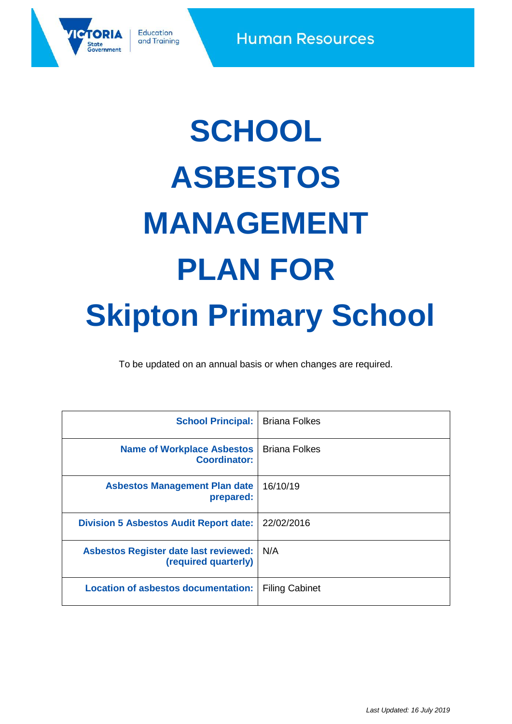

# **SCHOOL ASBESTOS MANAGEMENT PLAN FOR Skipton Primary School**

To be updated on an annual basis or when changes are required.

<span id="page-0-5"></span><span id="page-0-4"></span><span id="page-0-3"></span><span id="page-0-2"></span><span id="page-0-1"></span><span id="page-0-0"></span>

| <b>School Principal:</b>                                             | <b>Briana Folkes</b>  |
|----------------------------------------------------------------------|-----------------------|
| <b>Name of Workplace Asbestos</b><br><b>Coordinator:</b>             | <b>Briana Folkes</b>  |
| <b>Asbestos Management Plan date</b><br>prepared:                    | 16/10/19              |
| <b>Division 5 Asbestos Audit Report date:</b>                        | 22/02/2016            |
| <b>Asbestos Register date last reviewed:</b><br>(required quarterly) | N/A                   |
| <b>Location of asbestos documentation:</b>                           | <b>Filing Cabinet</b> |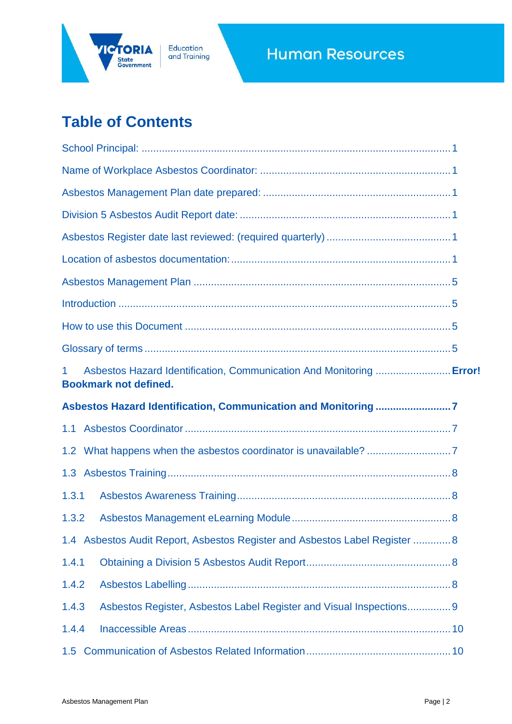

Education<br>and Training

# **Human Resources**

# **Table of Contents**

| Asbestos Hazard Identification, Communication And Monitoring  Error!<br>$\mathbf 1$<br><b>Bookmark not defined.</b> |  |
|---------------------------------------------------------------------------------------------------------------------|--|
| Asbestos Hazard Identification, Communication and Monitoring 7                                                      |  |
|                                                                                                                     |  |
|                                                                                                                     |  |
|                                                                                                                     |  |
| 1.3.1                                                                                                               |  |
| 1.3.2                                                                                                               |  |
| 1.4 Asbestos Audit Report, Asbestos Register and Asbestos Label Register  8                                         |  |
| 1.4.1                                                                                                               |  |
| 1.4.2                                                                                                               |  |
| Asbestos Register, Asbestos Label Register and Visual Inspections 9<br>1.4.3                                        |  |
| 1.4.4                                                                                                               |  |
|                                                                                                                     |  |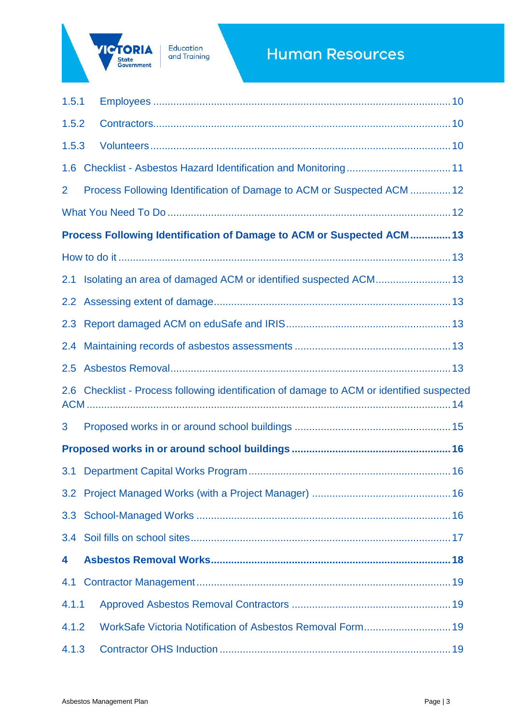

# **Human Resources**

| 1.5.1          |                                                                                           |  |
|----------------|-------------------------------------------------------------------------------------------|--|
| 1.5.2          |                                                                                           |  |
| 1.5.3          |                                                                                           |  |
|                |                                                                                           |  |
| $\overline{2}$ | Process Following Identification of Damage to ACM or Suspected ACM  12                    |  |
|                |                                                                                           |  |
|                | Process Following Identification of Damage to ACM or Suspected ACM  13                    |  |
|                |                                                                                           |  |
|                | 2.1 Isolating an area of damaged ACM or identified suspected ACM 13                       |  |
|                |                                                                                           |  |
|                |                                                                                           |  |
|                |                                                                                           |  |
|                |                                                                                           |  |
|                | 2.6 Checklist - Process following identification of damage to ACM or identified suspected |  |
| 3              |                                                                                           |  |
|                |                                                                                           |  |
|                |                                                                                           |  |
|                |                                                                                           |  |
|                |                                                                                           |  |
|                |                                                                                           |  |
| 4              |                                                                                           |  |
| 4.1            |                                                                                           |  |
| 4.1.1          |                                                                                           |  |
| 4.1.2          | WorkSafe Victoria Notification of Asbestos Removal Form 19                                |  |
| 4.1.3          |                                                                                           |  |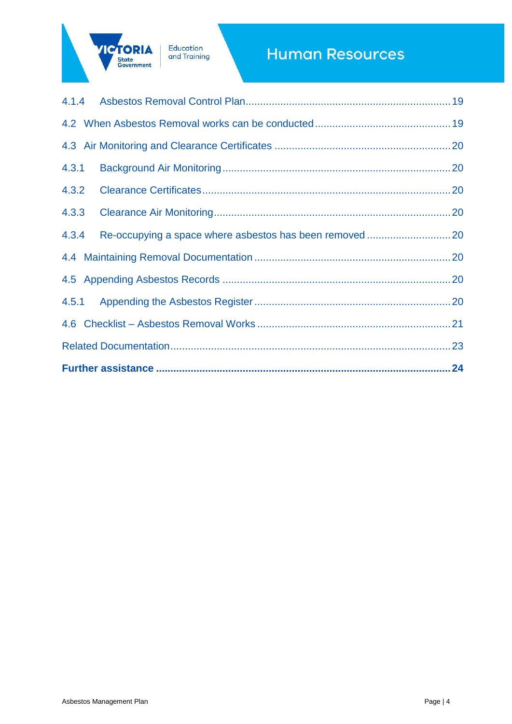

Education<br>and Training

# **Human Resources**

| 4.3.1 |  |
|-------|--|
| 4.3.2 |  |
| 4.3.3 |  |
| 4.3.4 |  |
|       |  |
|       |  |
|       |  |
|       |  |
|       |  |
|       |  |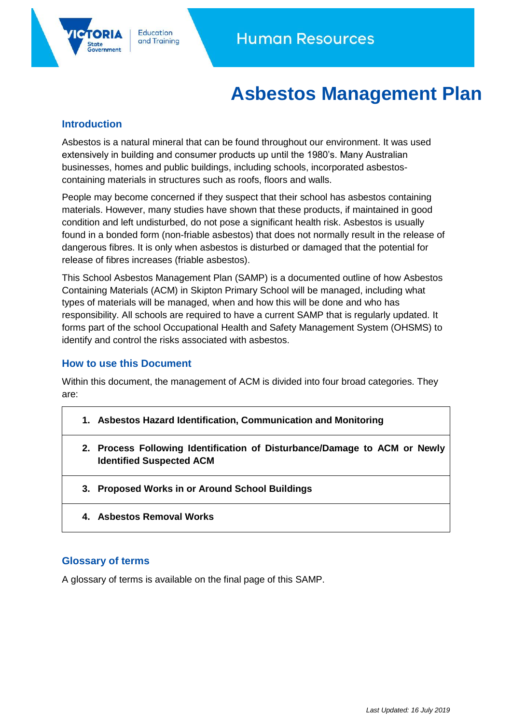# **Asbestos Management Plan**

# <span id="page-4-1"></span><span id="page-4-0"></span>**Introduction**

ernment

Asbestos is a natural mineral that can be found throughout our environment. It was used extensively in building and consumer products up until the 1980's. Many Australian businesses, homes and public buildings, including schools, incorporated asbestoscontaining materials in structures such as roofs, floors and walls.

People may become concerned if they suspect that their school has asbestos containing materials. However, many studies have shown that these products, if maintained in good condition and left undisturbed, do not pose a significant health risk. Asbestos is usually found in a bonded form (non-friable asbestos) that does not normally result in the release of dangerous fibres. It is only when asbestos is disturbed or damaged that the potential for release of fibres increases (friable asbestos).

This School Asbestos Management Plan (SAMP) is a documented outline of how Asbestos Containing Materials (ACM) in Skipton Primary School will be managed, including what types of materials will be managed, when and how this will be done and who has responsibility. All schools are required to have a current SAMP that is regularly updated. It forms part of the school Occupational Health and Safety Management System (OHSMS) to identify and control the risks associated with asbestos.

#### <span id="page-4-2"></span>**How to use this Document**

Within this document, the management of ACM is divided into four broad categories. They are:

- **1. Asbestos Hazard Identification, Communication and Monitoring**
- **2. Process Following Identification of Disturbance/Damage to ACM or Newly Identified Suspected ACM**
- **3. Proposed Works in or Around School Buildings**
- **4. Asbestos Removal Works**

#### <span id="page-4-3"></span>**Glossary of terms**

A glossary of terms is available on the final page of this SAMP.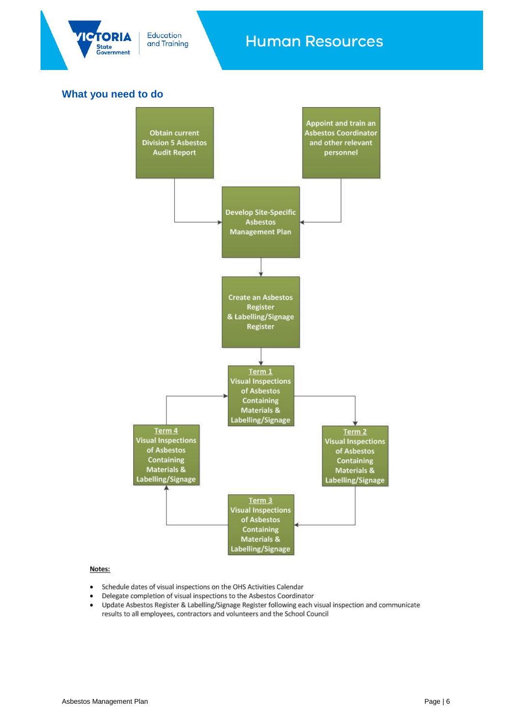

Education and Training

# **Human Resources**

# **What you need to do**



#### Notes:

- Schedule dates of visual inspections on the OHS Activities Calendar
- Delegate completion of visual inspections to the Asbestos Coordinator
- Update Asbestos Register & Labelling/Signage Register following each visual inspection and communicate results to all employees, contractors and volunteers and the School Council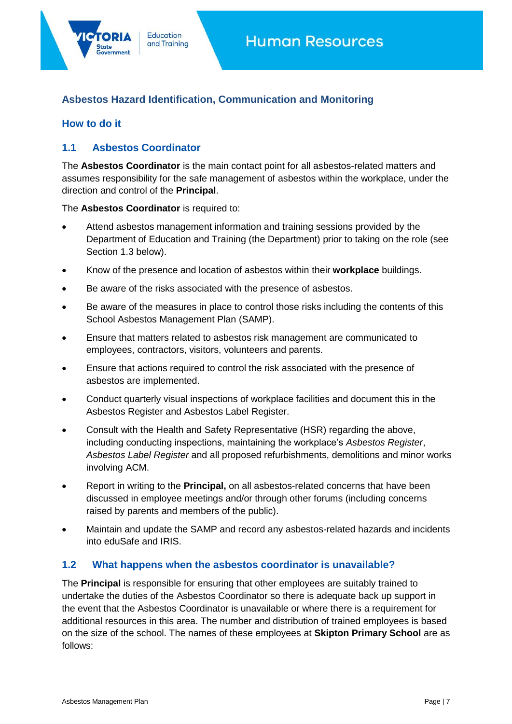# <span id="page-6-0"></span>**Asbestos Hazard Identification, Communication and Monitoring**

# **How to do it**

### <span id="page-6-1"></span>**1.1 Asbestos Coordinator**

The **Asbestos Coordinator** is the main contact point for all asbestos-related matters and assumes responsibility for the safe management of asbestos within the workplace, under the direction and control of the **Principal**.

The **Asbestos Coordinator** is required to:

Education

and Training

- Attend asbestos management information and training sessions provided by the Department of Education and Training (the Department) prior to taking on the role (see Section 1.3 below).
- Know of the presence and location of asbestos within their **workplace** buildings.
- Be aware of the risks associated with the presence of asbestos.
- Be aware of the measures in place to control those risks including the contents of this School Asbestos Management Plan (SAMP).
- Ensure that matters related to asbestos risk management are communicated to employees, contractors, visitors, volunteers and parents.
- Ensure that actions required to control the risk associated with the presence of asbestos are implemented.
- Conduct quarterly visual inspections of workplace facilities and document this in the Asbestos Register and Asbestos Label Register.
- Consult with the Health and Safety Representative (HSR) regarding the above, including conducting inspections, maintaining the workplace's *Asbestos Register*, *Asbestos Label Register* and all proposed refurbishments, demolitions and minor works involving ACM.
- Report in writing to the **Principal,** on all asbestos-related concerns that have been discussed in employee meetings and/or through other forums (including concerns raised by parents and members of the public).
- Maintain and update the SAMP and record any asbestos-related hazards and incidents into [eduSafe](http://www.education.vic.gov.au/EduSafe/login.aspx?ReturnUrl=%2fedusafe%2fDefault.aspx) and IRIS.

#### <span id="page-6-2"></span>**1.2 What happens when the asbestos coordinator is unavailable?**

The **Principal** is responsible for ensuring that other employees are suitably trained to undertake the duties of the Asbestos Coordinator so there is adequate back up support in the event that the Asbestos Coordinator is unavailable or where there is a requirement for additional resources in this area. The number and distribution of trained employees is based on the size of the school. The names of these employees at **Skipton Primary School** are as follows: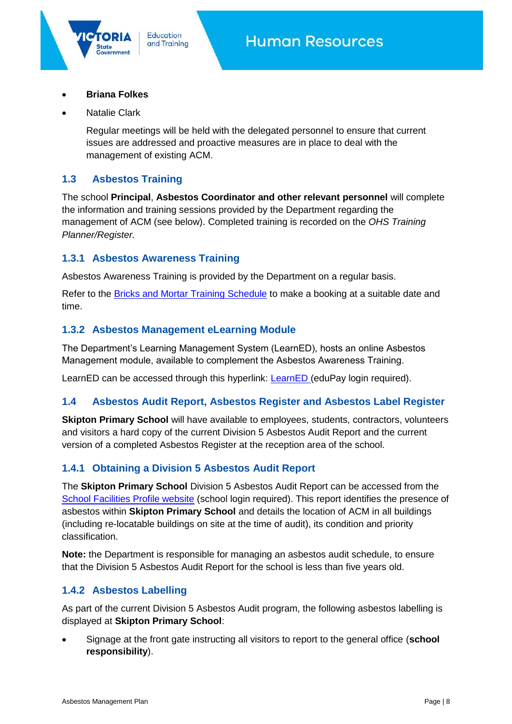**Briana Folkes**

State

Natalie Clark

Regular meetings will be held with the delegated personnel to ensure that current issues are addressed and proactive measures are in place to deal with the management of existing ACM.

## <span id="page-7-0"></span>**1.3 Asbestos Training**

The school **Principal**, **Asbestos Coordinator and other relevant personnel** will complete the information and training sessions provided by the Department regarding the management of ACM (see below). Completed training is recorded on the *OHS Training Planner/Register.*

# <span id="page-7-1"></span>**1.3.1 Asbestos Awareness Training**

Education

and Training

Asbestos Awareness Training is provided by the Department on a regular basis.

Refer to the **Bricks and Mortar Training Schedule** to make a booking at a suitable date and time.

#### <span id="page-7-2"></span>**1.3.2 Asbestos Management eLearning Module**

The Department's Learning Management System (LearnED), hosts an online Asbestos Management module, available to complement the Asbestos Awareness Training.

[LearnED](https://edupay.eduweb.vic.gov.au/psp/hoadmin/?cmd=login&languageCd=ENG&) can be accessed through this hyperlink: LearnED (eduPay login required).

# <span id="page-7-3"></span>**1.4 Asbestos Audit Report, Asbestos Register and Asbestos Label Register**

**Skipton Primary School** will have available to employees, students, contractors, volunteers and visitors a hard copy of the current Division 5 Asbestos Audit Report and the current version of a completed Asbestos Register at the reception area of the school.

# <span id="page-7-4"></span>**1.4.1 Obtaining a Division 5 Asbestos Audit Report**

The **Skipton Primary School** Division 5 Asbestos Audit Report can be accessed from the [School Facilities Profile website](https://www.eduweb.vic.gov.au/schoolfacilitiesprofile/SFPW3.aspx) (school login required). This report identifies the presence of asbestos within **Skipton Primary School** and details the location of ACM in all buildings (including re-locatable buildings on site at the time of audit), its condition and priority classification.

**Note:** the Department is responsible for managing an asbestos audit schedule, to ensure that the Division 5 Asbestos Audit Report for the school is less than five years old.

# <span id="page-7-5"></span>**1.4.2 Asbestos Labelling**

As part of the current Division 5 Asbestos Audit program, the following asbestos labelling is displayed at **Skipton Primary School**:

 Signage at the front gate instructing all visitors to report to the general office (**school responsibility**).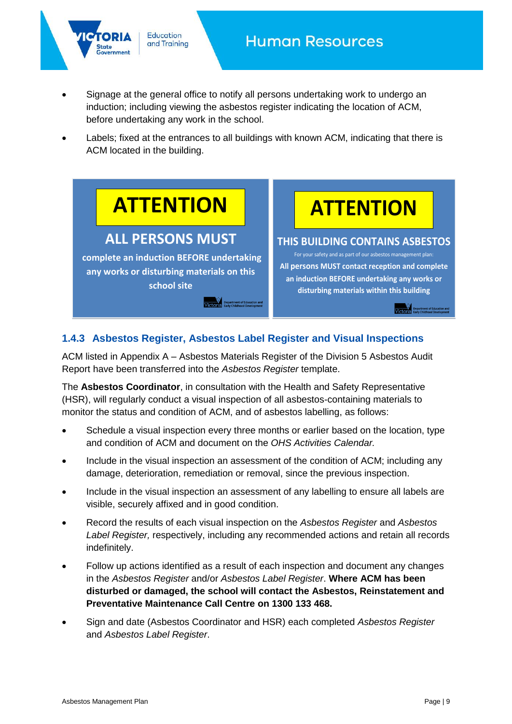

 Signage at the general office to notify all persons undertaking work to undergo an induction; including viewing the asbestos register indicating the location of ACM, before undertaking any work in the school.

Education

and Training

 Labels; fixed at the entrances to all buildings with known ACM, indicating that there is ACM located in the building.



Victoria Department of Education and

**disturbing materials within this building**

Department of Education and

# <span id="page-8-0"></span>**1.4.3 Asbestos Register, Asbestos Label Register and Visual Inspections**

ACM listed in Appendix A – Asbestos Materials Register of the Division 5 Asbestos Audit Report have been transferred into the *Asbestos Register* template.

The **Asbestos Coordinator**, in consultation with the Health and Safety Representative (HSR), will regularly conduct a visual inspection of all asbestos-containing materials to monitor the status and condition of ACM, and of asbestos labelling, as follows:

- Schedule a visual inspection every three months or earlier based on the location, type and condition of ACM and document on the *OHS Activities Calendar.*
- Include in the visual inspection an assessment of the condition of ACM; including any damage, deterioration, remediation or removal, since the previous inspection.
- Include in the visual inspection an assessment of any labelling to ensure all labels are visible, securely affixed and in good condition.
- Record the results of each visual inspection on the *Asbestos Register* and *Asbestos Label Register,* respectively, including any recommended actions and retain all records indefinitely.
- Follow up actions identified as a result of each inspection and document any changes in the *Asbestos Register* and/or *Asbestos Label Register*. **Where ACM has been disturbed or damaged, the school will contact the Asbestos, Reinstatement and Preventative Maintenance Call Centre on 1300 133 468.**
- Sign and date (Asbestos Coordinator and HSR) each completed *Asbestos Register* and *Asbestos Label Register*.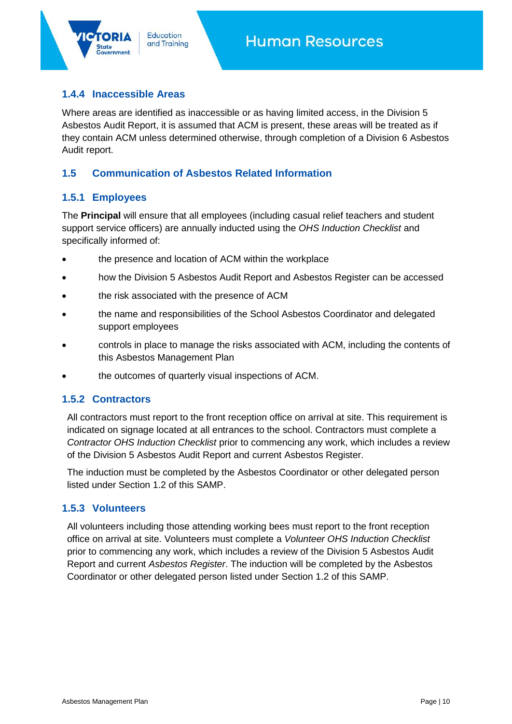# <span id="page-9-0"></span>**1.4.4 Inaccessible Areas**

Education

and Training

Where areas are identified as inaccessible or as having limited access, in the Division 5 Asbestos Audit Report, it is assumed that ACM is present, these areas will be treated as if they contain ACM unless determined otherwise, through completion of a Division 6 Asbestos Audit report.

#### <span id="page-9-1"></span>**1.5 Communication of Asbestos Related Information**

#### <span id="page-9-2"></span>**1.5.1 Employees**

The **Principal** will ensure that all employees (including casual relief teachers and student support service officers) are annually inducted using the *OHS Induction Checklist* and specifically informed of:

- the presence and location of ACM within the workplace
- how the Division 5 Asbestos Audit Report and Asbestos Register can be accessed
- the risk associated with the presence of ACM
- the name and responsibilities of the School Asbestos Coordinator and delegated support employees
- controls in place to manage the risks associated with ACM, including the contents of this Asbestos Management Plan
- the outcomes of quarterly visual inspections of ACM.

#### <span id="page-9-3"></span>**1.5.2 Contractors**

All contractors must report to the front reception office on arrival at site. This requirement is indicated on signage located at all entrances to the school. Contractors must complete a *Contractor OHS Induction Checklist* prior to commencing any work, which includes a review of the Division 5 Asbestos Audit Report and current Asbestos Register.

The induction must be completed by the Asbestos Coordinator or other delegated person listed under Section 1.2 of this SAMP.

#### <span id="page-9-4"></span>**1.5.3 Volunteers**

All volunteers including those attending working bees must report to the front reception office on arrival at site. Volunteers must complete a *Volunteer OHS Induction Checklist* prior to commencing any work, which includes a review of the Division 5 Asbestos Audit Report and current *Asbestos Register*. The induction will be completed by the Asbestos Coordinator or other delegated person listed under Section 1.2 of this SAMP.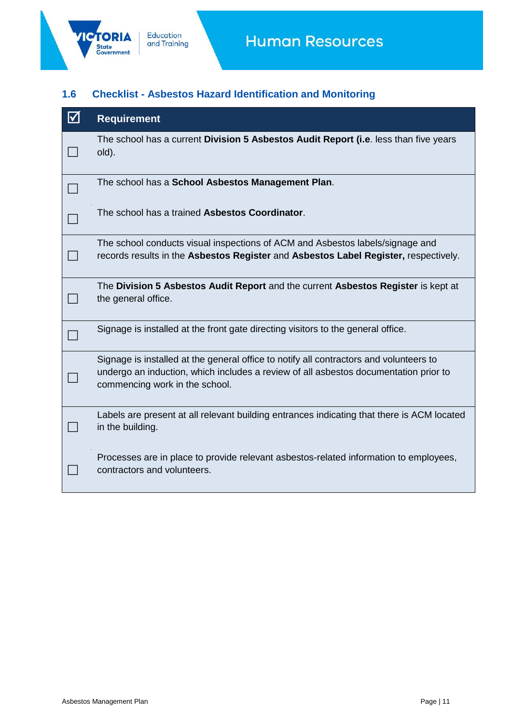

# <span id="page-10-0"></span>**1.6 Checklist - Asbestos Hazard Identification and Monitoring**

| $\Delta$ | <b>Requirement</b>                                                                                                                                                                                               |
|----------|------------------------------------------------------------------------------------------------------------------------------------------------------------------------------------------------------------------|
|          | The school has a current Division 5 Asbestos Audit Report (i.e. less than five years<br>old).                                                                                                                    |
|          | The school has a School Asbestos Management Plan.                                                                                                                                                                |
|          | The school has a trained Asbestos Coordinator.                                                                                                                                                                   |
|          | The school conducts visual inspections of ACM and Asbestos labels/signage and<br>records results in the Asbestos Register and Asbestos Label Register, respectively.                                             |
|          | The Division 5 Asbestos Audit Report and the current Asbestos Register is kept at<br>the general office.                                                                                                         |
|          | Signage is installed at the front gate directing visitors to the general office.                                                                                                                                 |
|          | Signage is installed at the general office to notify all contractors and volunteers to<br>undergo an induction, which includes a review of all asbestos documentation prior to<br>commencing work in the school. |
|          | Labels are present at all relevant building entrances indicating that there is ACM located<br>in the building.                                                                                                   |
|          | Processes are in place to provide relevant asbestos-related information to employees,<br>contractors and volunteers.                                                                                             |
|          |                                                                                                                                                                                                                  |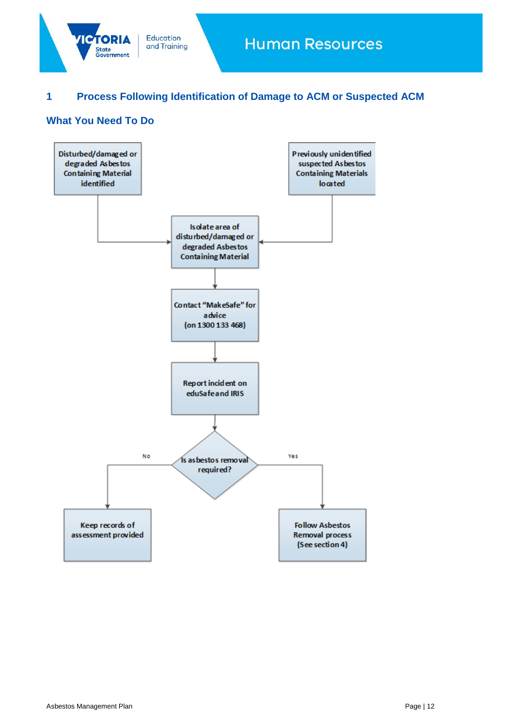

# <span id="page-11-0"></span>**1 Process Following Identification of Damage to ACM or Suspected ACM**

# <span id="page-11-1"></span>**What You Need To Do**

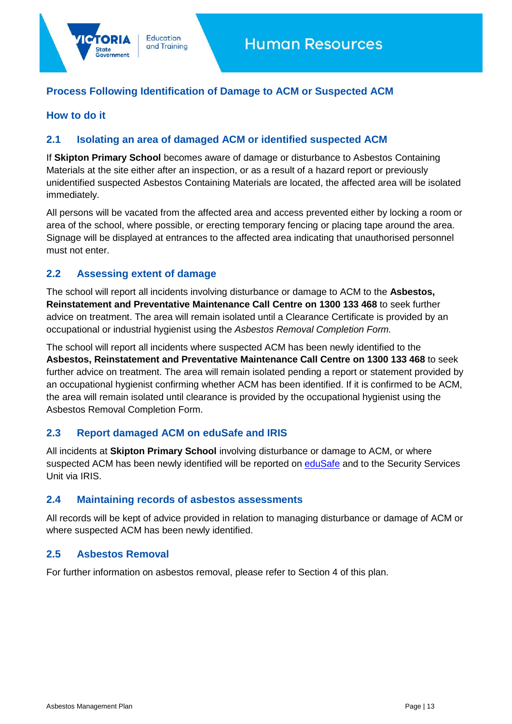# <span id="page-12-0"></span>**Process Following Identification of Damage to ACM or Suspected ACM**

**Education** 

and Training

#### <span id="page-12-1"></span>**How to do it**

itate

#### <span id="page-12-2"></span>**2.1 Isolating an area of damaged ACM or identified suspected ACM**

If **Skipton Primary School** becomes aware of damage or disturbance to Asbestos Containing Materials at the site either after an inspection, or as a result of a hazard report or previously unidentified suspected Asbestos Containing Materials are located, the affected area will be isolated immediately.

All persons will be vacated from the affected area and access prevented either by locking a room or area of the school, where possible, or erecting temporary fencing or placing tape around the area. Signage will be displayed at entrances to the affected area indicating that unauthorised personnel must not enter.

#### <span id="page-12-3"></span>**2.2 Assessing extent of damage**

The school will report all incidents involving disturbance or damage to ACM to the **Asbestos, Reinstatement and Preventative Maintenance Call Centre on 1300 133 468** to seek further advice on treatment. The area will remain isolated until a Clearance Certificate is provided by an occupational or industrial hygienist using the *Asbestos Removal Completion Form.*

The school will report all incidents where suspected ACM has been newly identified to the **Asbestos, Reinstatement and Preventative Maintenance Call Centre on 1300 133 468** to seek further advice on treatment. The area will remain isolated pending a report or statement provided by an occupational hygienist confirming whether ACM has been identified. If it is confirmed to be ACM, the area will remain isolated until clearance is provided by the occupational hygienist using the Asbestos Removal Completion Form.

#### <span id="page-12-4"></span>**2.3 Report damaged ACM on eduSafe and IRIS**

All incidents at **Skipton Primary School** involving disturbance or damage to ACM, or where suspected ACM has been newly identified will be reported on [eduSafe](https://www.eduweb.vic.gov.au/EDUSAFE/login.aspx?ReturnUrl=%2fedusafe%2fDefault.aspx%3fRedirect%3d1&Redirect=1&cks=1) and to the Security Services Unit via IRIS.

#### <span id="page-12-5"></span>**2.4 Maintaining records of asbestos assessments**

All records will be kept of advice provided in relation to managing disturbance or damage of ACM or where suspected ACM has been newly identified.

#### <span id="page-12-6"></span>**2.5 Asbestos Removal**

For further information on asbestos removal, please refer to Section 4 of this plan.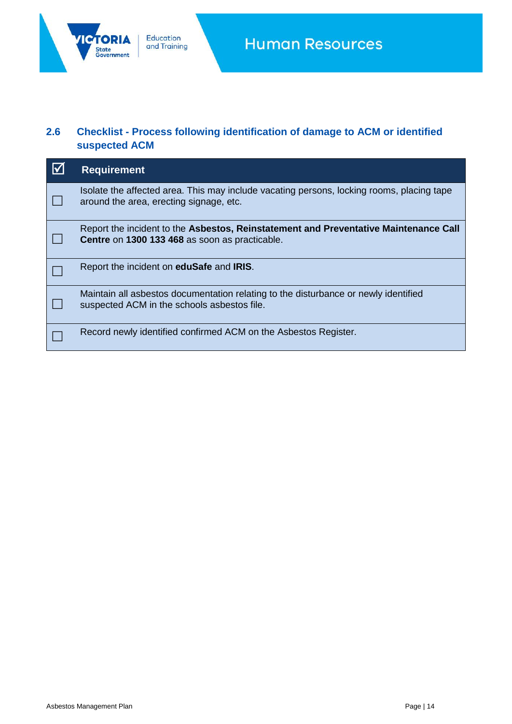

# <span id="page-13-0"></span>**2.6 Checklist - Process following identification of damage to ACM or identified suspected ACM**

| $\overline{\mathbf{v}}$ | <b>Requirement</b>                                                                                                                     |
|-------------------------|----------------------------------------------------------------------------------------------------------------------------------------|
|                         | Isolate the affected area. This may include vacating persons, locking rooms, placing tape<br>around the area, erecting signage, etc.   |
|                         | Report the incident to the Asbestos, Reinstatement and Preventative Maintenance Call<br>Centre on 1300 133 468 as soon as practicable. |
|                         | Report the incident on <b>eduSafe</b> and <b>IRIS</b> .                                                                                |
|                         | Maintain all asbestos documentation relating to the disturbance or newly identified<br>suspected ACM in the schools asbestos file.     |
|                         | Record newly identified confirmed ACM on the Asbestos Register.                                                                        |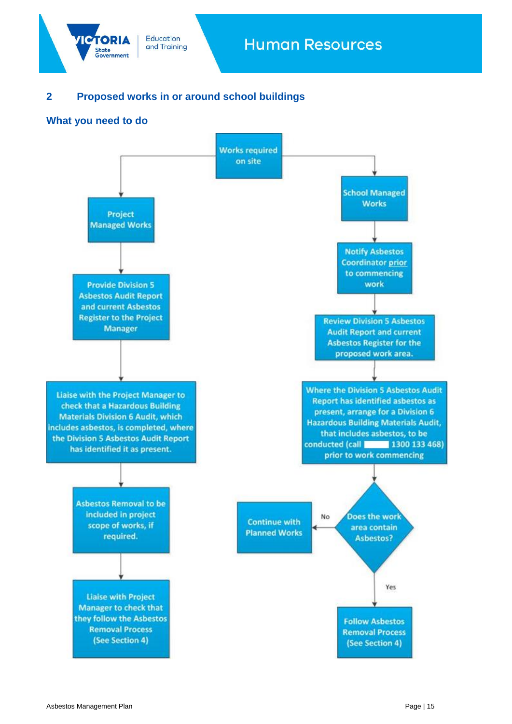

# <span id="page-14-0"></span>**2 Proposed works in or around school buildings**

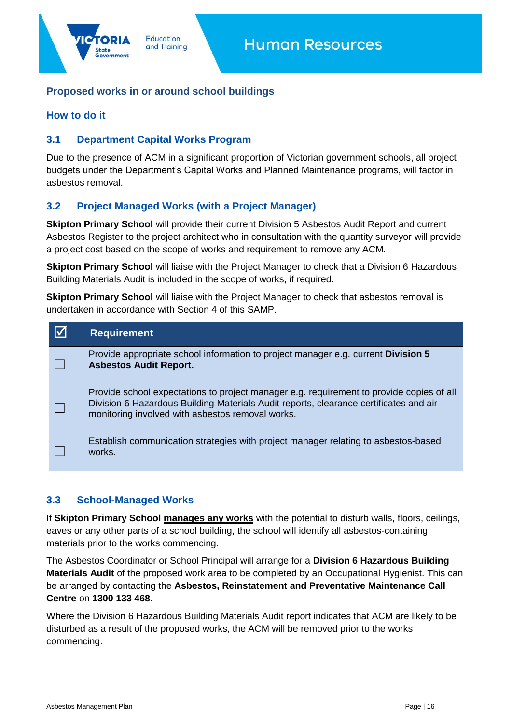# <span id="page-15-0"></span>**Proposed works in or around school buildings**

### **How to do it**

# <span id="page-15-1"></span>**3.1 Department Capital Works Program**

Due to the presence of ACM in a significant proportion of Victorian government schools, all project budgets under the Department's Capital Works and Planned Maintenance programs, will factor in asbestos removal.

# <span id="page-15-2"></span>**3.2 Project Managed Works (with a Project Manager)**

**Skipton Primary School** will provide their current Division 5 Asbestos Audit Report and current Asbestos Register to the project architect who in consultation with the quantity surveyor will provide a project cost based on the scope of works and requirement to remove any ACM.

**Skipton Primary School** will liaise with the Project Manager to check that a Division 6 Hazardous Building Materials Audit is included in the scope of works, if required.

**Skipton Primary School** will liaise with the Project Manager to check that asbestos removal is undertaken in accordance with Section 4 of this SAMP.

| <b>Requirement</b>                                                                                                                                                                                                                    |
|---------------------------------------------------------------------------------------------------------------------------------------------------------------------------------------------------------------------------------------|
| Provide appropriate school information to project manager e.g. current <b>Division 5</b><br><b>Asbestos Audit Report.</b>                                                                                                             |
| Provide school expectations to project manager e.g. requirement to provide copies of all<br>Division 6 Hazardous Building Materials Audit reports, clearance certificates and air<br>monitoring involved with asbestos removal works. |
| Establish communication strategies with project manager relating to asbestos-based<br>works.                                                                                                                                          |

#### <span id="page-15-3"></span>**3.3 School-Managed Works**

If **Skipton Primary School manages any works** with the potential to disturb walls, floors, ceilings, eaves or any other parts of a school building, the school will identify all asbestos-containing materials prior to the works commencing.

The Asbestos Coordinator or School Principal will arrange for a **Division 6 Hazardous Building Materials Audit** of the proposed work area to be completed by an Occupational Hygienist. This can be arranged by contacting the **Asbestos, Reinstatement and Preventative Maintenance Call Centre** on **1300 133 468**.

Where the Division 6 Hazardous Building Materials Audit report indicates that ACM are likely to be disturbed as a result of the proposed works, the ACM will be removed prior to the works commencing.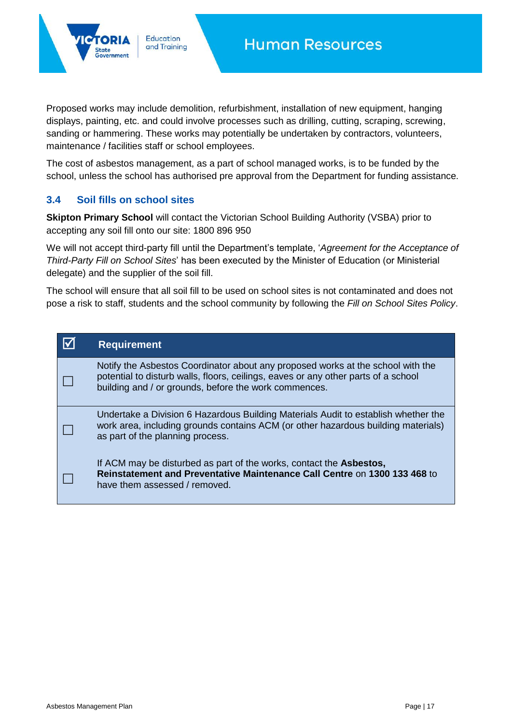Proposed works may include demolition, refurbishment, installation of new equipment, hanging displays, painting, etc. and could involve processes such as drilling, cutting, scraping, screwing, sanding or hammering. These works may potentially be undertaken by contractors, volunteers, maintenance / facilities staff or school employees.

The cost of asbestos management, as a part of school managed works, is to be funded by the school, unless the school has authorised pre approval from the Department for funding assistance.

#### <span id="page-16-0"></span>**3.4 Soil fills on school sites**

**Education** 

and Training

**Skipton Primary School** will contact the Victorian School Building Authority (VSBA) prior to accepting any soil fill onto our site: 1800 896 950

We will not accept third-party fill until the Department's template, '*Agreement for the Acceptance of Third-Party Fill on School Sites*' has been executed by the Minister of Education (or Ministerial delegate) and the supplier of the soil fill.

The school will ensure that all soil fill to be used on school sites is not contaminated and does not pose a risk to staff, students and the school community by following the *Fill on School Sites Policy*.

| <b>Requirement</b>                                                                                                                                                                                                             |
|--------------------------------------------------------------------------------------------------------------------------------------------------------------------------------------------------------------------------------|
| Notify the Asbestos Coordinator about any proposed works at the school with the<br>potential to disturb walls, floors, ceilings, eaves or any other parts of a school<br>building and / or grounds, before the work commences. |
| Undertake a Division 6 Hazardous Building Materials Audit to establish whether the<br>work area, including grounds contains ACM (or other hazardous building materials)<br>as part of the planning process.                    |
| If ACM may be disturbed as part of the works, contact the <b>Asbestos</b> ,<br><b>Reinstatement and Preventative Maintenance Call Centre on 1300 133 468 to</b><br>have them assessed / removed.                               |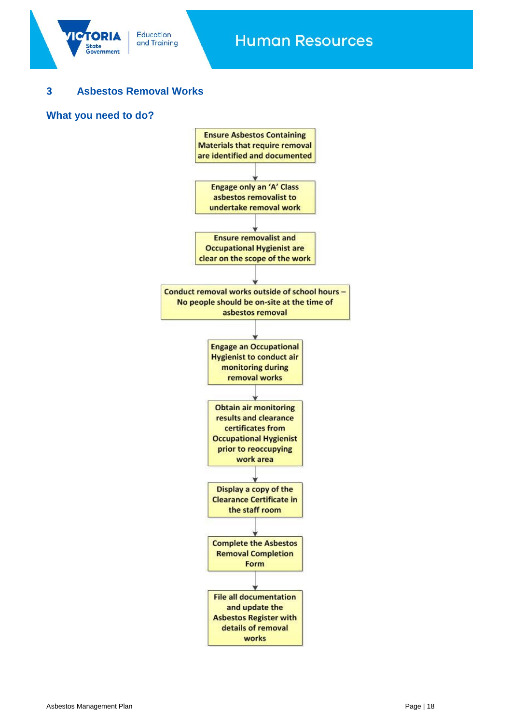

# <span id="page-17-0"></span>**3 Asbestos Removal Works**

#### **What you need to do?**

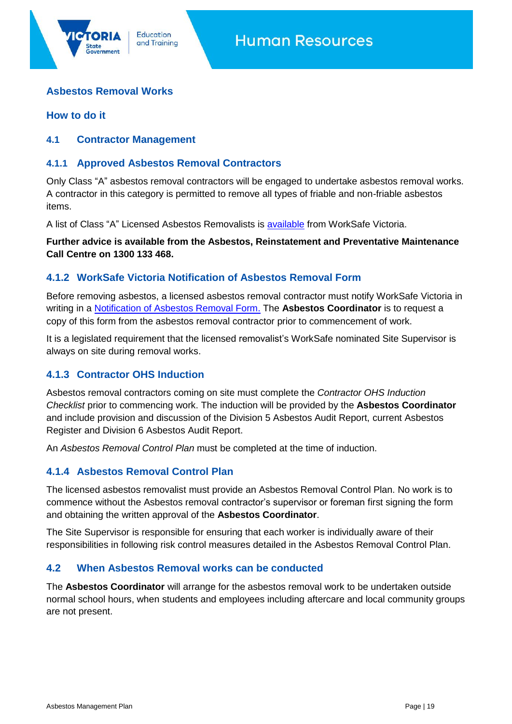# **Asbestos Removal Works**

#### **How to do it**

#### <span id="page-18-0"></span>**4.1 Contractor Management**

#### <span id="page-18-1"></span>**4.1.1 Approved Asbestos Removal Contractors**

**Education** 

and Training

Only Class "A" asbestos removal contractors will be engaged to undertake asbestos removal works. A contractor in this category is permitted to remove all types of friable and non-friable asbestos items.

A list of Class "A" Licensed Asbestos Removalists is [available](https://www.worksafe.vic.gov.au/resources/find-licenced-asbestos-removalist) from WorkSafe Victoria.

**Further advice is available from the Asbestos, Reinstatement and Preventative Maintenance Call Centre on 1300 133 468.**

#### <span id="page-18-2"></span>**4.1.2 WorkSafe Victoria Notification of Asbestos Removal Form**

Before removing asbestos, a licensed asbestos removal contractor must notify WorkSafe Victoria in writing in a [Notification of Asbestos Removal Form.](https://www.worksafe.vic.gov.au/resources/notice-asbestos-removal) The **Asbestos Coordinator** is to request a copy of this form from the asbestos removal contractor prior to commencement of work.

It is a legislated requirement that the licensed removalist's WorkSafe nominated Site Supervisor is always on site during removal works.

#### <span id="page-18-3"></span>**4.1.3 Contractor OHS Induction**

Asbestos removal contractors coming on site must complete the *Contractor OHS Induction Checklist* prior to commencing work. The induction will be provided by the **Asbestos Coordinator** and include provision and discussion of the Division 5 Asbestos Audit Report, current Asbestos Register and Division 6 Asbestos Audit Report.

An *Asbestos Removal Control Plan* must be completed at the time of induction.

#### <span id="page-18-4"></span>**4.1.4 Asbestos Removal Control Plan**

The licensed asbestos removalist must provide an Asbestos Removal Control Plan. No work is to commence without the Asbestos removal contractor's supervisor or foreman first signing the form and obtaining the written approval of the **Asbestos Coordinator**.

The Site Supervisor is responsible for ensuring that each worker is individually aware of their responsibilities in following risk control measures detailed in the Asbestos Removal Control Plan.

#### <span id="page-18-5"></span>**4.2 When Asbestos Removal works can be conducted**

The **Asbestos Coordinator** will arrange for the asbestos removal work to be undertaken outside normal school hours, when students and employees including aftercare and local community groups are not present.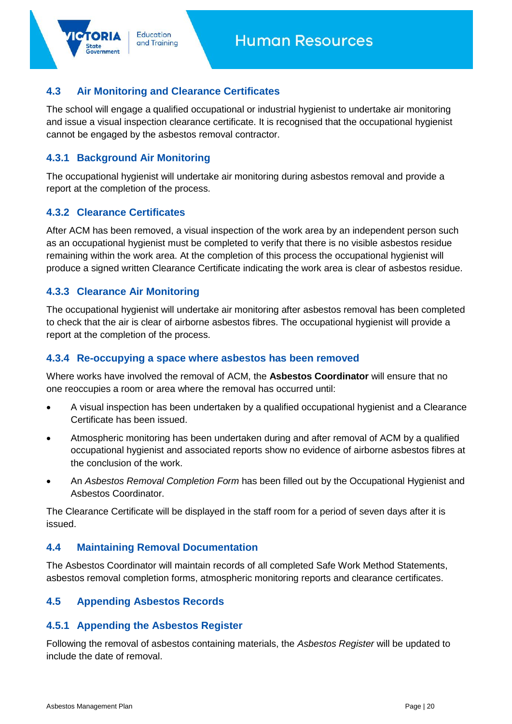# <span id="page-19-0"></span>**4.3 Air Monitoring and Clearance Certificates**

**Education** 

and Training

The school will engage a qualified occupational or industrial hygienist to undertake air monitoring and issue a visual inspection clearance certificate. It is recognised that the occupational hygienist cannot be engaged by the asbestos removal contractor.

# <span id="page-19-1"></span>**4.3.1 Background Air Monitoring**

The occupational hygienist will undertake air monitoring during asbestos removal and provide a report at the completion of the process.

#### <span id="page-19-2"></span>**4.3.2 Clearance Certificates**

After ACM has been removed, a visual inspection of the work area by an independent person such as an occupational hygienist must be completed to verify that there is no visible asbestos residue remaining within the work area. At the completion of this process the occupational hygienist will produce a signed written Clearance Certificate indicating the work area is clear of asbestos residue.

#### <span id="page-19-3"></span>**4.3.3 Clearance Air Monitoring**

The occupational hygienist will undertake air monitoring after asbestos removal has been completed to check that the air is clear of airborne asbestos fibres. The occupational hygienist will provide a report at the completion of the process.

#### <span id="page-19-4"></span>**4.3.4 Re-occupying a space where asbestos has been removed**

Where works have involved the removal of ACM, the **Asbestos Coordinator** will ensure that no one reoccupies a room or area where the removal has occurred until:

- A visual inspection has been undertaken by a qualified occupational hygienist and a Clearance Certificate has been issued.
- Atmospheric monitoring has been undertaken during and after removal of ACM by a qualified occupational hygienist and associated reports show no evidence of airborne asbestos fibres at the conclusion of the work.
- An *Asbestos Removal Completion Form* has been filled out by the Occupational Hygienist and Asbestos Coordinator.

The Clearance Certificate will be displayed in the staff room for a period of seven days after it is issued.

#### <span id="page-19-5"></span>**4.4 Maintaining Removal Documentation**

The Asbestos Coordinator will maintain records of all completed Safe Work Method Statements, asbestos removal completion forms, atmospheric monitoring reports and clearance certificates.

#### <span id="page-19-6"></span>**4.5 Appending Asbestos Records**

# <span id="page-19-7"></span>**4.5.1 Appending the Asbestos Register**

Following the removal of asbestos containing materials, the *Asbestos Register* will be updated to include the date of removal.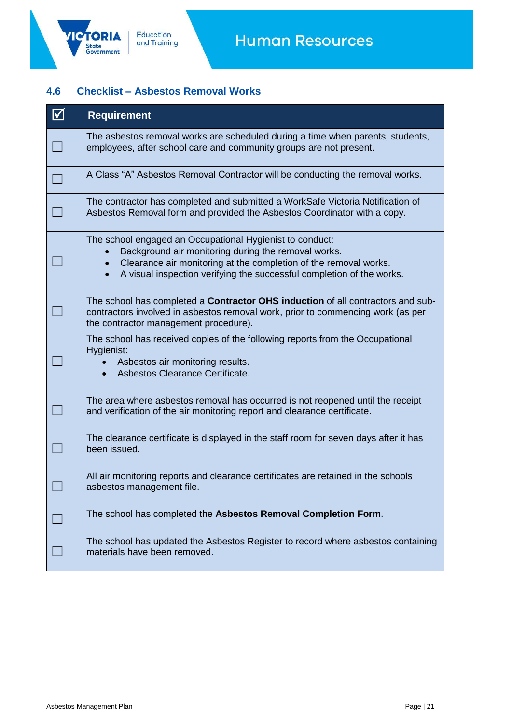'IC

# <span id="page-20-0"></span>**4.6 Checklist – Asbestos Removal Works**

| $\boxtimes$ | <b>Requirement</b>                                                                                                                                                                                                                                           |
|-------------|--------------------------------------------------------------------------------------------------------------------------------------------------------------------------------------------------------------------------------------------------------------|
|             | The asbestos removal works are scheduled during a time when parents, students,<br>employees, after school care and community groups are not present.                                                                                                         |
|             | A Class "A" Asbestos Removal Contractor will be conducting the removal works.                                                                                                                                                                                |
|             | The contractor has completed and submitted a WorkSafe Victoria Notification of<br>Asbestos Removal form and provided the Asbestos Coordinator with a copy.                                                                                                   |
|             | The school engaged an Occupational Hygienist to conduct:<br>Background air monitoring during the removal works.<br>Clearance air monitoring at the completion of the removal works.<br>A visual inspection verifying the successful completion of the works. |
|             | The school has completed a <b>Contractor OHS induction</b> of all contractors and sub-<br>contractors involved in asbestos removal work, prior to commencing work (as per<br>the contractor management procedure).                                           |
|             | The school has received copies of the following reports from the Occupational<br>Hygienist:<br>Asbestos air monitoring results.<br>Asbestos Clearance Certificate.<br>$\bullet$                                                                              |
|             | The area where asbestos removal has occurred is not reopened until the receipt<br>and verification of the air monitoring report and clearance certificate.                                                                                                   |
|             | The clearance certificate is displayed in the staff room for seven days after it has<br>been issued.                                                                                                                                                         |
|             | All air monitoring reports and clearance certificates are retained in the schools<br>asbestos management file.                                                                                                                                               |
|             | The school has completed the Asbestos Removal Completion Form.                                                                                                                                                                                               |
|             | The school has updated the Asbestos Register to record where asbestos containing<br>materials have been removed.                                                                                                                                             |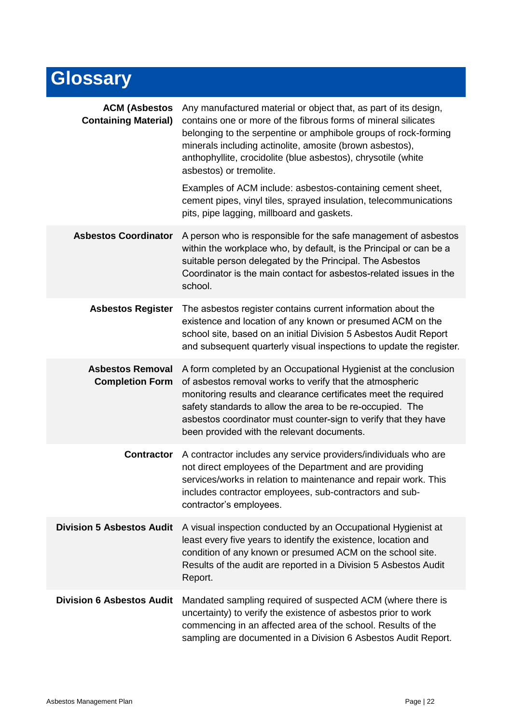# **Glossary**

| <b>ACM (Asbestos</b><br><b>Containing Material)</b> | Any manufactured material or object that, as part of its design,<br>contains one or more of the fibrous forms of mineral silicates<br>belonging to the serpentine or amphibole groups of rock-forming<br>minerals including actinolite, amosite (brown asbestos),<br>anthophyllite, crocidolite (blue asbestos), chrysotile (white<br>asbestos) or tremolite.<br>Examples of ACM include: asbestos-containing cement sheet,<br>cement pipes, vinyl tiles, sprayed insulation, telecommunications |
|-----------------------------------------------------|--------------------------------------------------------------------------------------------------------------------------------------------------------------------------------------------------------------------------------------------------------------------------------------------------------------------------------------------------------------------------------------------------------------------------------------------------------------------------------------------------|
|                                                     | pits, pipe lagging, millboard and gaskets.                                                                                                                                                                                                                                                                                                                                                                                                                                                       |
| <b>Asbestos Coordinator</b>                         | A person who is responsible for the safe management of asbestos<br>within the workplace who, by default, is the Principal or can be a<br>suitable person delegated by the Principal. The Asbestos<br>Coordinator is the main contact for asbestos-related issues in the<br>school.                                                                                                                                                                                                               |
| <b>Asbestos Register</b>                            | The asbestos register contains current information about the<br>existence and location of any known or presumed ACM on the<br>school site, based on an initial Division 5 Asbestos Audit Report<br>and subsequent quarterly visual inspections to update the register.                                                                                                                                                                                                                           |
| <b>Asbestos Removal</b><br><b>Completion Form</b>   | A form completed by an Occupational Hygienist at the conclusion<br>of asbestos removal works to verify that the atmospheric<br>monitoring results and clearance certificates meet the required<br>safety standards to allow the area to be re-occupied. The<br>asbestos coordinator must counter-sign to verify that they have<br>been provided with the relevant documents.                                                                                                                     |
| <b>Contractor</b>                                   | A contractor includes any service providers/individuals who are<br>not direct employees of the Department and are providing<br>services/works in relation to maintenance and repair work. This<br>includes contractor employees, sub-contractors and sub-<br>contractor's employees.                                                                                                                                                                                                             |
| <b>Division 5 Asbestos Audit</b>                    | A visual inspection conducted by an Occupational Hygienist at<br>least every five years to identify the existence, location and<br>condition of any known or presumed ACM on the school site.<br>Results of the audit are reported in a Division 5 Asbestos Audit<br>Report.                                                                                                                                                                                                                     |
| <b>Division 6 Asbestos Audit</b>                    | Mandated sampling required of suspected ACM (where there is<br>uncertainty) to verify the existence of asbestos prior to work<br>commencing in an affected area of the school. Results of the<br>sampling are documented in a Division 6 Asbestos Audit Report.                                                                                                                                                                                                                                  |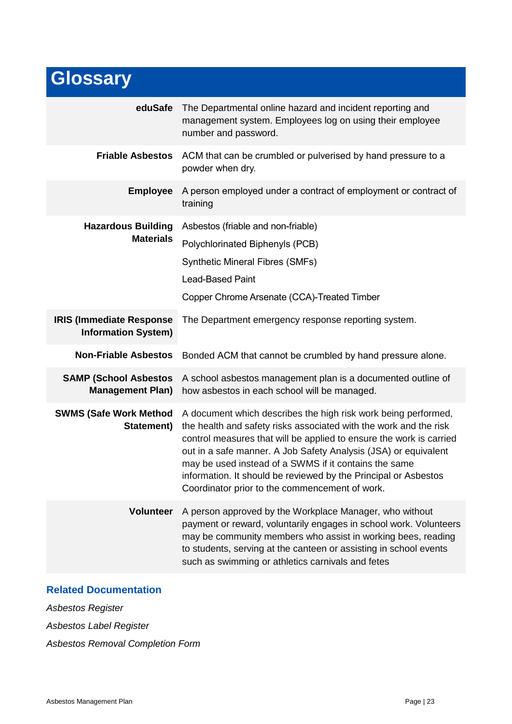# **Glossary**

| eduSafe                                                       | The Departmental online hazard and incident reporting and<br>management system. Employees log on using their employee<br>number and password.                                                                                                                                                                                                                                                                                                               |
|---------------------------------------------------------------|-------------------------------------------------------------------------------------------------------------------------------------------------------------------------------------------------------------------------------------------------------------------------------------------------------------------------------------------------------------------------------------------------------------------------------------------------------------|
| <b>Friable Asbestos</b>                                       | ACM that can be crumbled or pulverised by hand pressure to a<br>powder when dry.                                                                                                                                                                                                                                                                                                                                                                            |
| <b>Employee</b>                                               | A person employed under a contract of employment or contract of<br>training                                                                                                                                                                                                                                                                                                                                                                                 |
| <b>Hazardous Building</b><br><b>Materials</b>                 | Asbestos (friable and non-friable)<br>Polychlorinated Biphenyls (PCB)<br><b>Synthetic Mineral Fibres (SMFs)</b><br><b>Lead-Based Paint</b><br>Copper Chrome Arsenate (CCA)-Treated Timber                                                                                                                                                                                                                                                                   |
| <b>IRIS (Immediate Response</b><br><b>Information System)</b> | The Department emergency response reporting system.                                                                                                                                                                                                                                                                                                                                                                                                         |
| <b>Non-Friable Asbestos</b>                                   | Bonded ACM that cannot be crumbled by hand pressure alone.                                                                                                                                                                                                                                                                                                                                                                                                  |
| <b>SAMP (School Asbestos)</b><br><b>Management Plan)</b>      | A school asbestos management plan is a documented outline of<br>how asbestos in each school will be managed.                                                                                                                                                                                                                                                                                                                                                |
| <b>SWMS (Safe Work Method</b><br>Statement)                   | A document which describes the high risk work being performed,<br>the health and safety risks associated with the work and the risk<br>control measures that will be applied to ensure the work is carried<br>out in a safe manner. A Job Safety Analysis (JSA) or equivalent<br>may be used instead of a SWMS if it contains the same<br>information. It should be reviewed by the Principal or Asbestos<br>Coordinator prior to the commencement of work. |
| <b>Volunteer</b>                                              | A person approved by the Workplace Manager, who without<br>payment or reward, voluntarily engages in school work. Volunteers<br>may be community members who assist in working bees, reading<br>to students, serving at the canteen or assisting in school events<br>such as swimming or athletics carnivals and fetes                                                                                                                                      |
|                                                               |                                                                                                                                                                                                                                                                                                                                                                                                                                                             |

# <span id="page-22-0"></span>**Related Documentation**

*Asbestos Register*

*Asbestos Label Register*

*Asbestos Removal Completion Form*